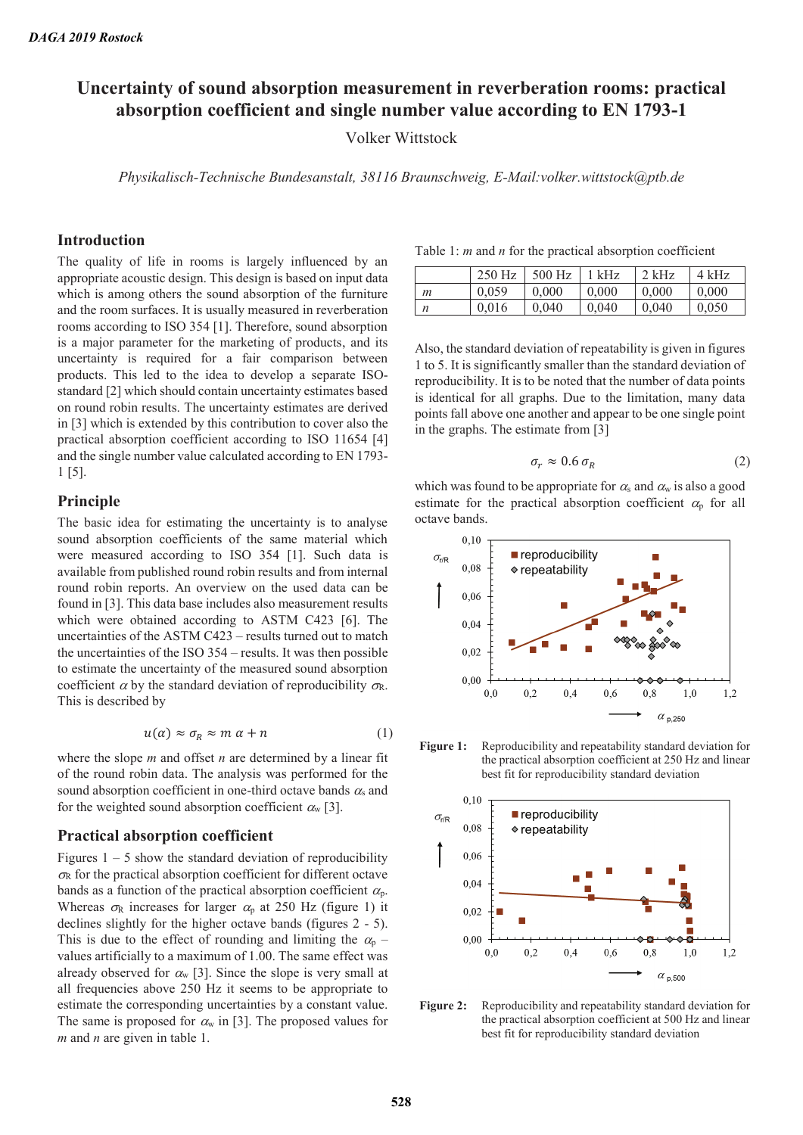# **Uncertainty of sound absorption measurement in reverberation rooms: practical absorption coefficient and single number value according to EN 1793-1**

Volker Wittstock

*Physikalisch-Technische Bundesanstalt, 38116 Braunschweig, E-Mail:volker.wittstock@ptb.de* 

#### **Introduction**

The quality of life in rooms is largely influenced by an appropriate acoustic design. This design is based on input data which is among others the sound absorption of the furniture and the room surfaces. It is usually measured in reverberation rooms according to ISO 354 [1]. Therefore, sound absorption is a major parameter for the marketing of products, and its uncertainty is required for a fair comparison between products. This led to the idea to develop a separate ISOstandard [2] which should contain uncertainty estimates based on round robin results. The uncertainty estimates are derived in [3] which is extended by this contribution to cover also the practical absorption coefficient according to ISO 11654 [4] and the single number value calculated according to EN 1793- 1 [5].

## **Principle**

The basic idea for estimating the uncertainty is to analyse sound absorption coefficients of the same material which were measured according to ISO 354 [1]. Such data is available from published round robin results and from internal round robin reports. An overview on the used data can be found in [3]. This data base includes also measurement results which were obtained according to ASTM C423 [6]. The uncertainties of the ASTM C423 – results turned out to match the uncertainties of the ISO 354 – results. It was then possible to estimate the uncertainty of the measured sound absorption coefficient  $\alpha$  by the standard deviation of reproducibility  $\sigma_{\rm R}$ . This is described by

$$
u(\alpha) \approx \sigma_R \approx m \alpha + n \tag{1}
$$

where the slope *m* and offset *n* are determined by a linear fit of the round robin data. The analysis was performed for the sound absorption coefficient in one-third octave bands  $\alpha_s$  and for the weighted sound absorption coefficient  $\alpha_w$  [3].

#### **Practical absorption coefficient**

Figures  $1 - 5$  show the standard deviation of reproducibility  $\sigma_{\rm R}$  for the practical absorption coefficient for different octave bands as a function of the practical absorption coefficient  $\alpha_p$ . Whereas  $\sigma_R$  increases for larger  $\alpha_p$  at 250 Hz (figure 1) it declines slightly for the higher octave bands (figures 2 - 5). This is due to the effect of rounding and limiting the  $\alpha_{p}$  – values artificially to a maximum of 1.00. The same effect was already observed for  $\alpha_w$  [3]. Since the slope is very small at all frequencies above 250 Hz it seems to be appropriate to estimate the corresponding uncertainties by a constant value. The same is proposed for  $\alpha_w$  in [3]. The proposed values for *m* and *n* are given in table 1.

Table 1: *m* and *n* for the practical absorption coefficient

|   | $250$ Hz | $500$ Hz | $1$ kHz | $2$ kHz | $4$ kHz |
|---|----------|----------|---------|---------|---------|
| т | 0.059    | 0.000    | 0.000   | 0.000   | 0.000   |
| п | 0.016    | 0.040    | 0.040   | 0.040   | 0.050   |

Also, the standard deviation of repeatability is given in figures 1 to 5. It is significantly smaller than the standard deviation of reproducibility. It is to be noted that the number of data points is identical for all graphs. Due to the limitation, many data points fall above one another and appear to be one single point in the graphs. The estimate from [3]

$$
\sigma_r \approx 0.6 \,\sigma_R \tag{2}
$$

which was found to be appropriate for  $\alpha_s$  and  $\alpha_w$  is also a good estimate for the practical absorption coefficient  $\alpha_p$  for all octave bands.



**Figure 1:** Reproducibility and repeatability standard deviation for the practical absorption coefficient at 250 Hz and linear best fit for reproducibility standard deviation



Figure 2: Reproducibility and repeatability standard deviation for the practical absorption coefficient at 500 Hz and linear best fit for reproducibility standard deviation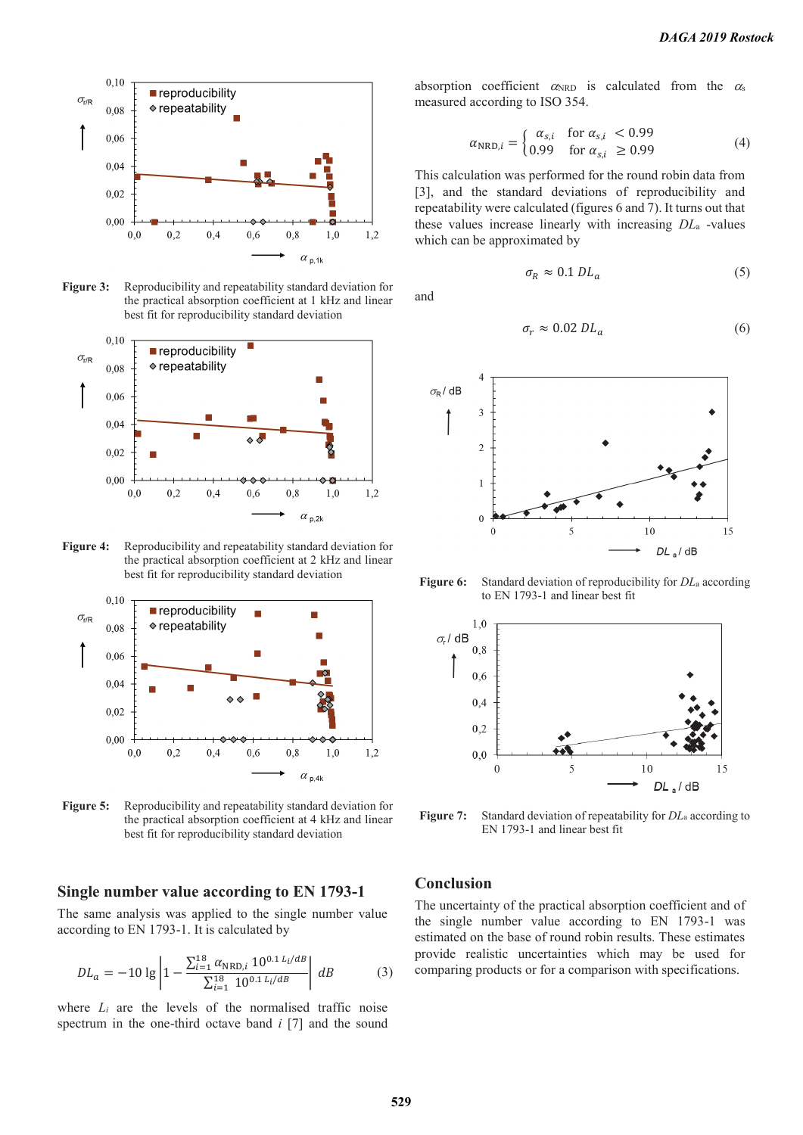

**Figure 3:** Reproducibility and repeatability standard deviation for the practical absorption coefficient at 1 kHz and linear best fit for reproducibility standard deviation



**Figure 4:** Reproducibility and repeatability standard deviation for the practical absorption coefficient at 2 kHz and linear best fit for reproducibility standard deviation



**Figure 5:** Reproducibility and repeatability standard deviation for the practical absorption coefficient at 4 kHz and linear best fit for reproducibility standard deviation

#### **Single number value according to EN 1793-1**

The same analysis was applied to the single number value according to EN 1793-1. It is calculated by

$$
DL_a = -10 \lg \left| 1 - \frac{\sum_{i=1}^{18} \alpha_{\text{NRD},i} 10^{0.1 L_i/dB}}{\sum_{i=1}^{18} 10^{0.1 L_i/dB}} \right| dB \tag{3}
$$

where  $L_i$  are the levels of the normalised traffic noise spectrum in the one-third octave band *i* [7] and the sound absorption coefficient  $\alpha_{\text{NRD}}$  is calculated from the  $\alpha_s$ measured according to ISO 354.

$$
\alpha_{\text{NRD},i} = \begin{cases} \alpha_{s,i} & \text{for } \alpha_{s,i} < 0.99\\ 0.99 & \text{for } \alpha_{s,i} \ge 0.99 \end{cases} \tag{4}
$$

This calculation was performed for the round robin data from [3], and the standard deviations of reproducibility and repeatability were calculated (figures 6 and 7). It turns out that these values increase linearly with increasing *DL*a -values which can be approximated by

$$
\sigma_R \approx 0.1 \, DL_a \tag{5}
$$

and

$$
\sigma_r \approx 0.02 \, DL_a \tag{6}
$$



**Figure 6:** Standard deviation of reproducibility for *DL*a according to EN 1793-1 and linear best fit



**Figure 7:** Standard deviation of repeatability for *DL*a according to EN 1793-1 and linear best fit

### **Conclusion**

The uncertainty of the practical absorption coefficient and of the single number value according to EN 1793-1 was estimated on the base of round robin results. These estimates provide realistic uncertainties which may be used for comparing products or for a comparison with specifications.